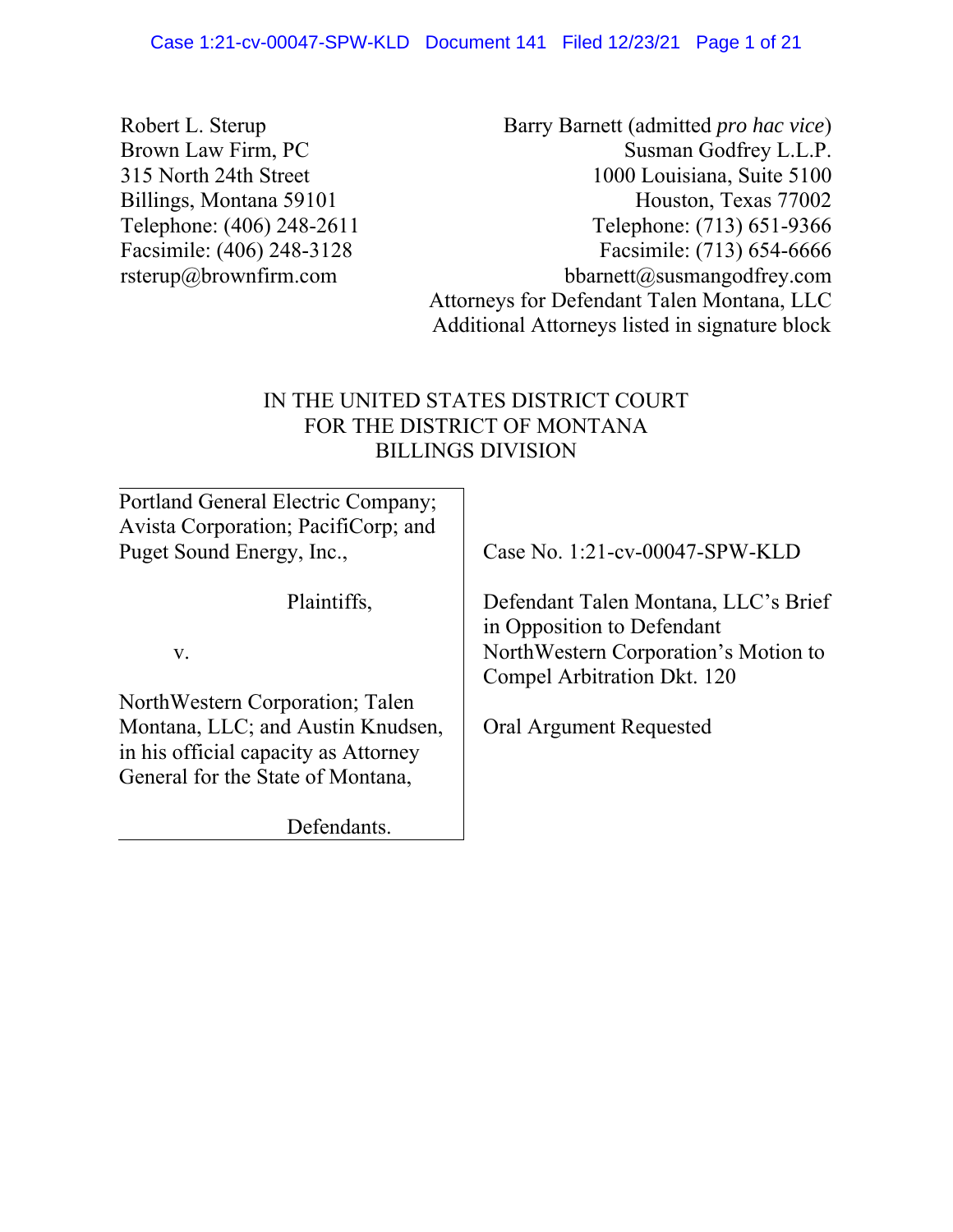Robert L. Sterup Brown Law Firm, PC 315 North 24th Street Billings, Montana 59101 Telephone: (406) 248-2611 Facsimile: (406) 248-3128 rsterup@brownfirm.com

Barry Barnett (admitted *pro hac vice*) Susman Godfrey L.L.P. 1000 Louisiana, Suite 5100 Houston, Texas 77002 Telephone: (713) 651-9366 Facsimile: (713) 654-6666 bbarnett@susmangodfrey.com Attorneys for Defendant Talen Montana, LLC Additional Attorneys listed in signature block

# IN THE UNITED STATES DISTRICT COURT FOR THE DISTRICT OF MONTANA BILLINGS DIVISION

| Portland General Electric Company;<br>Avista Corporation; PacifiCorp; and                                      |                                                                     |
|----------------------------------------------------------------------------------------------------------------|---------------------------------------------------------------------|
| Puget Sound Energy, Inc.,                                                                                      | Case No. 1:21-cv-00047-SPW-KLD                                      |
| Plaintiffs,                                                                                                    | Defendant Talen Montana, LLC's Brief<br>in Opposition to Defendant  |
| V.                                                                                                             | NorthWestern Corporation's Motion to<br>Compel Arbitration Dkt. 120 |
| NorthWestern Corporation; Talen                                                                                |                                                                     |
| Montana, LLC; and Austin Knudsen,<br>in his official capacity as Attorney<br>General for the State of Montana, | Oral Argument Requested                                             |
| Defendants.                                                                                                    |                                                                     |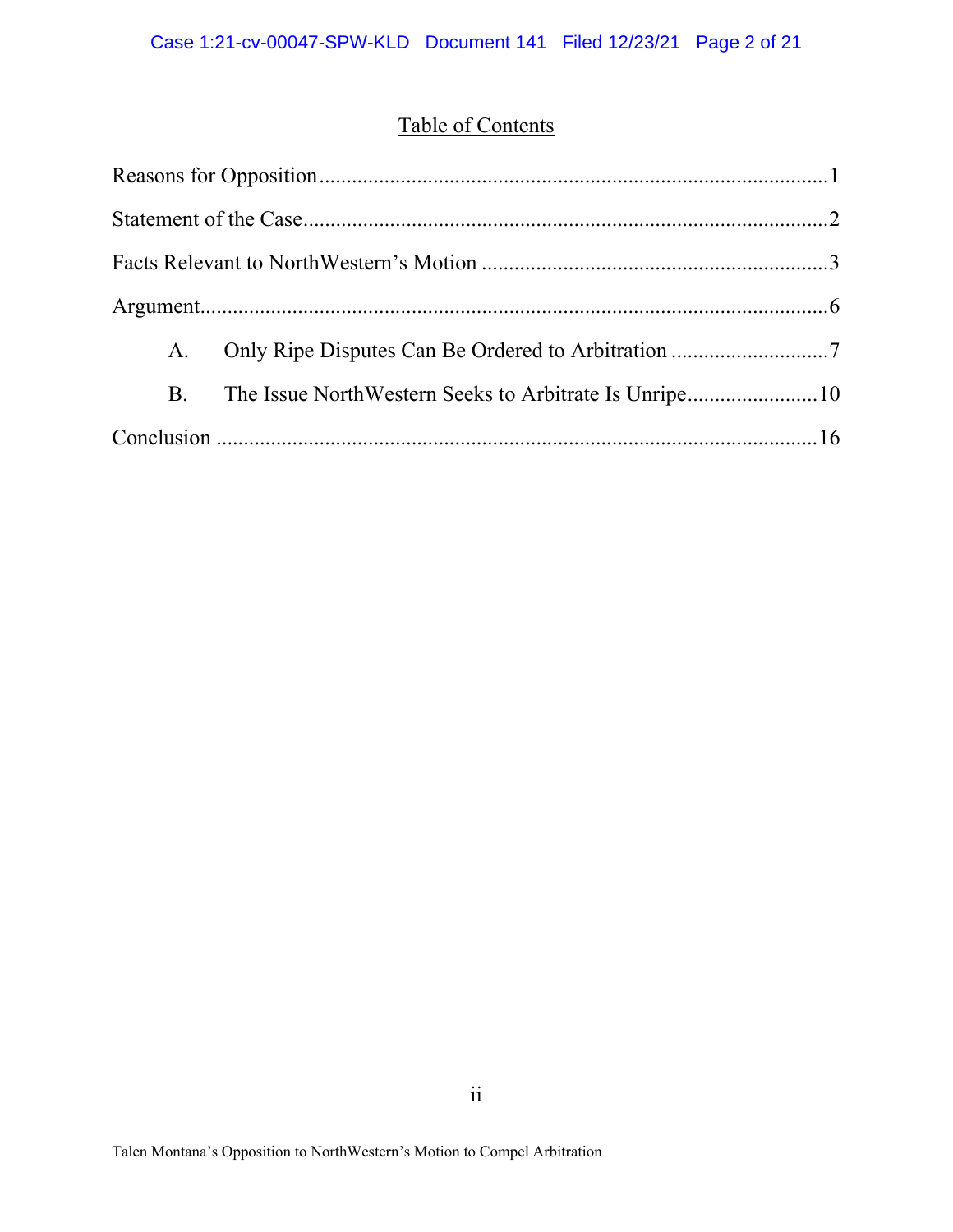# Table of Contents

| A. | Only Ripe Disputes Can Be Ordered to Arbitration 7 |
|----|----------------------------------------------------|
| B. |                                                    |
|    |                                                    |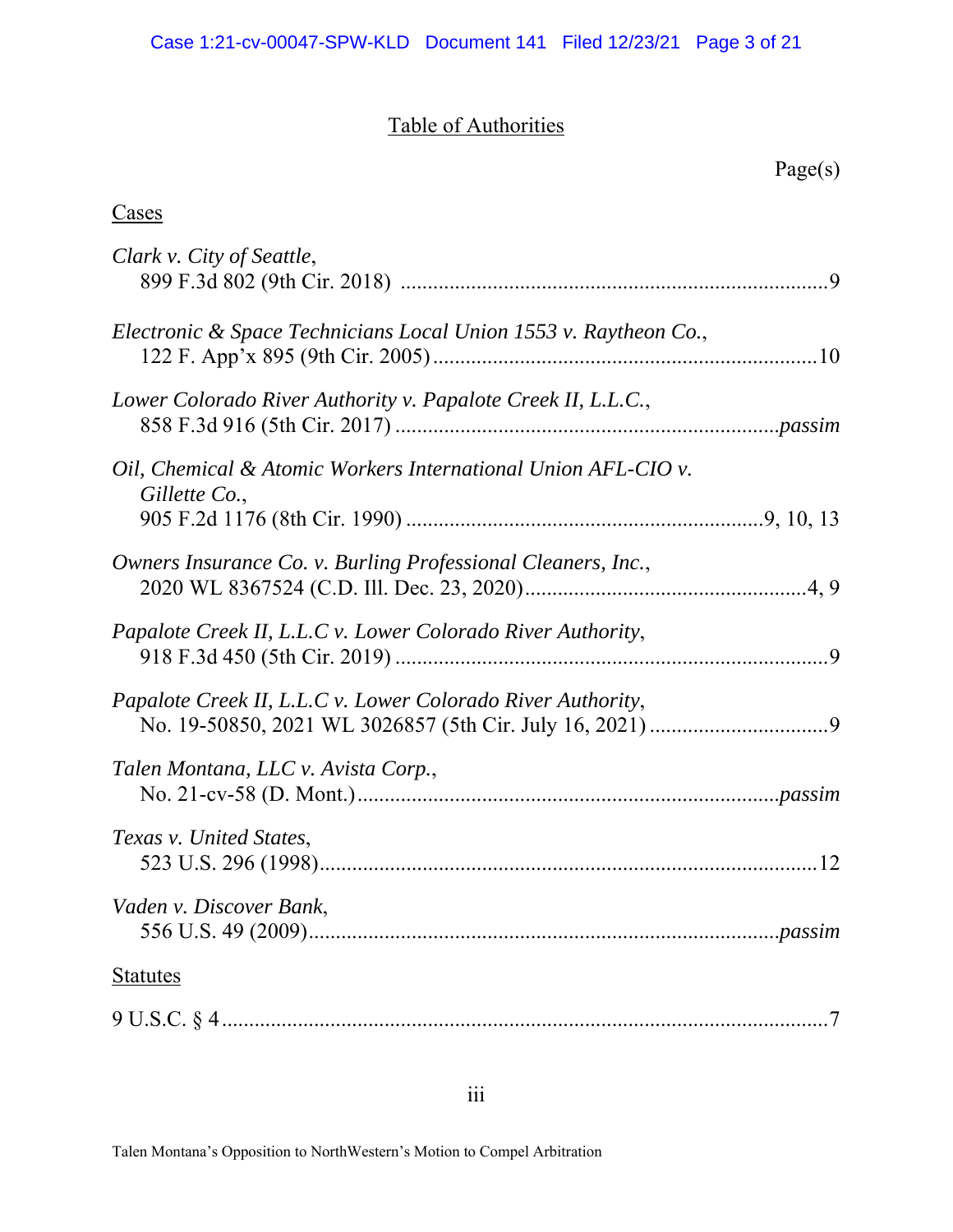# Table of Authorities

| Clark v. City of Seattle,                                                      |
|--------------------------------------------------------------------------------|
| Electronic & Space Technicians Local Union 1553 v. Raytheon Co.,               |
| Lower Colorado River Authority v. Papalote Creek II, L.L.C.,                   |
| Oil, Chemical & Atomic Workers International Union AFL-CIO v.<br>Gillette Co., |
| Owners Insurance Co. v. Burling Professional Cleaners, Inc.,                   |
| Papalote Creek II, L.L.C v. Lower Colorado River Authority,                    |
| Papalote Creek II, L.L.C v. Lower Colorado River Authority,                    |
| Talen Montana, LLC v. Avista Corp.,                                            |
| Texas v. United States,                                                        |
| Vaden v. Discover Bank,                                                        |
| <b>Statutes</b>                                                                |
|                                                                                |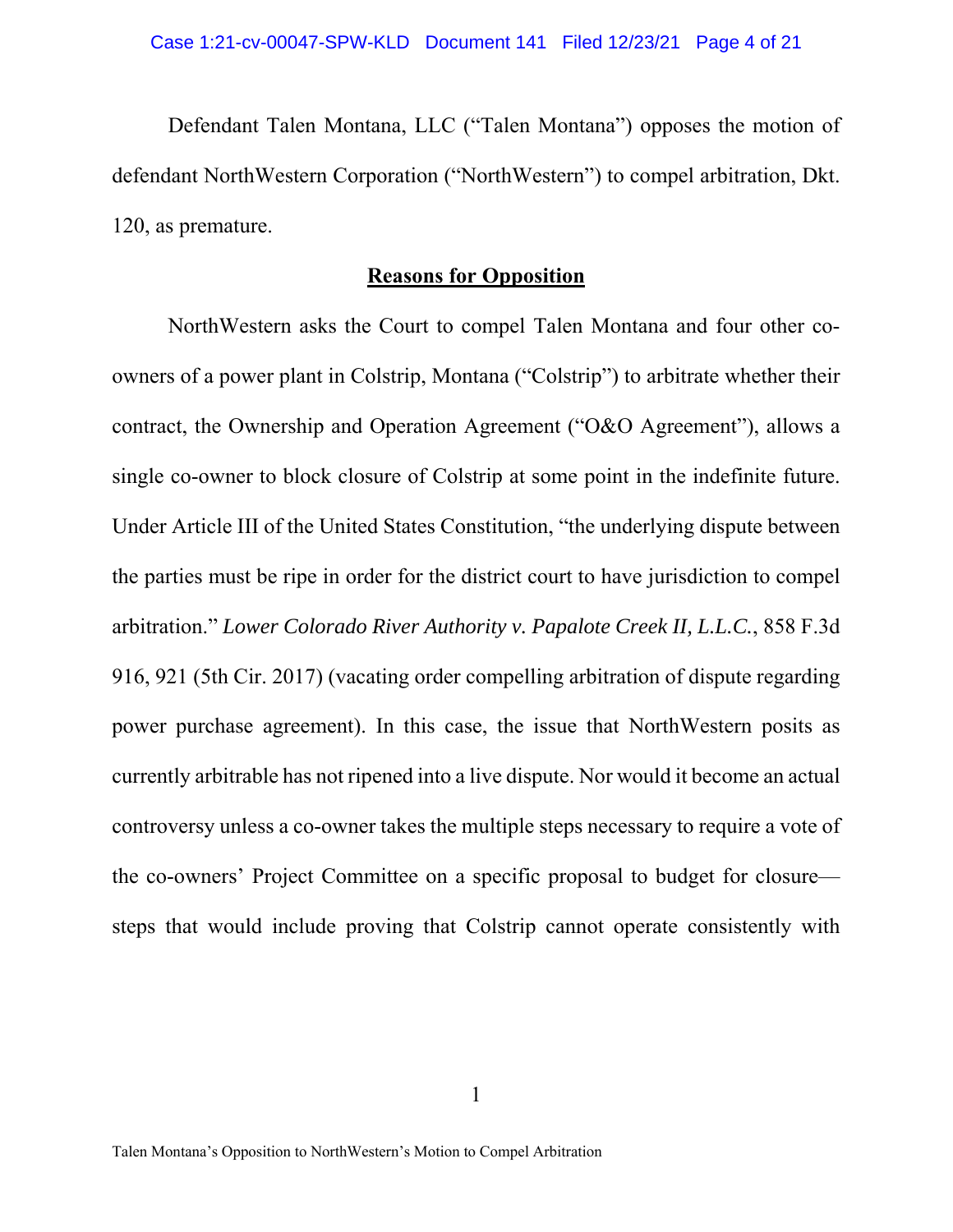Defendant Talen Montana, LLC ("Talen Montana") opposes the motion of defendant NorthWestern Corporation ("NorthWestern") to compel arbitration, Dkt. 120, as premature.

# **Reasons for Opposition**

NorthWestern asks the Court to compel Talen Montana and four other coowners of a power plant in Colstrip, Montana ("Colstrip") to arbitrate whether their contract, the Ownership and Operation Agreement ("O&O Agreement"), allows a single co-owner to block closure of Colstrip at some point in the indefinite future. Under Article III of the United States Constitution, "the underlying dispute between the parties must be ripe in order for the district court to have jurisdiction to compel arbitration." *Lower Colorado River Authority v. Papalote Creek II, L.L.C.*, 858 F.3d 916, 921 (5th Cir. 2017) (vacating order compelling arbitration of dispute regarding power purchase agreement). In this case, the issue that NorthWestern posits as currently arbitrable has not ripened into a live dispute. Nor would it become an actual controversy unless a co-owner takes the multiple steps necessary to require a vote of the co-owners' Project Committee on a specific proposal to budget for closure steps that would include proving that Colstrip cannot operate consistently with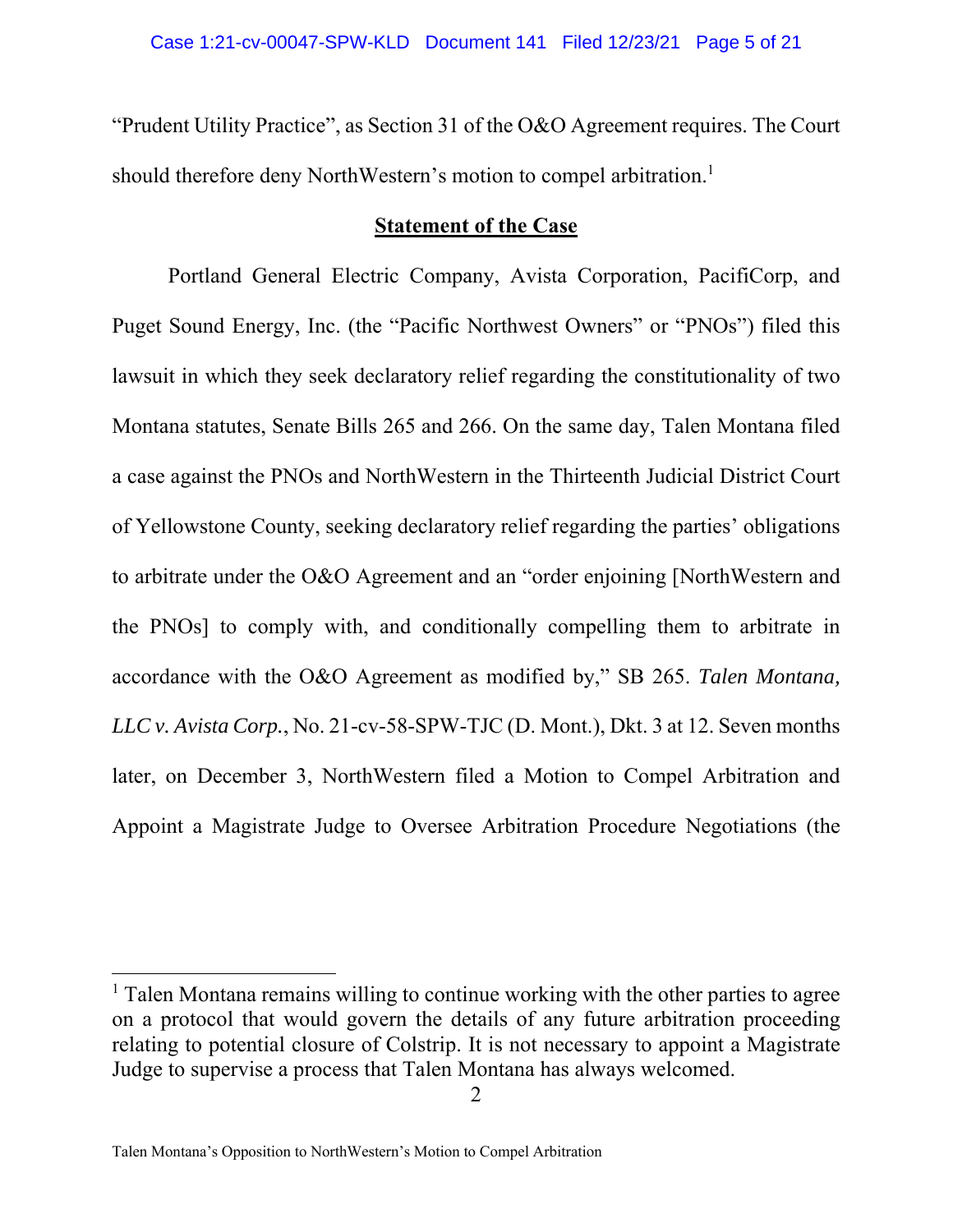"Prudent Utility Practice", as Section 31 of the O&O Agreement requires. The Court should therefore deny NorthWestern's motion to compel arbitration.<sup>1</sup>

## **Statement of the Case**

Portland General Electric Company, Avista Corporation, PacifiCorp, and Puget Sound Energy, Inc. (the "Pacific Northwest Owners" or "PNOs") filed this lawsuit in which they seek declaratory relief regarding the constitutionality of two Montana statutes, Senate Bills 265 and 266. On the same day, Talen Montana filed a case against the PNOs and NorthWestern in the Thirteenth Judicial District Court of Yellowstone County, seeking declaratory relief regarding the parties' obligations to arbitrate under the O&O Agreement and an "order enjoining [NorthWestern and the PNOs] to comply with, and conditionally compelling them to arbitrate in accordance with the O&O Agreement as modified by," SB 265. *Talen Montana, LLC v. Avista Corp.*, No. 21-cv-58-SPW-TJC (D. Mont.), Dkt. 3 at 12. Seven months later, on December 3, NorthWestern filed a Motion to Compel Arbitration and Appoint a Magistrate Judge to Oversee Arbitration Procedure Negotiations (the

<sup>&</sup>lt;sup>1</sup> Talen Montana remains willing to continue working with the other parties to agree on a protocol that would govern the details of any future arbitration proceeding relating to potential closure of Colstrip. It is not necessary to appoint a Magistrate Judge to supervise a process that Talen Montana has always welcomed.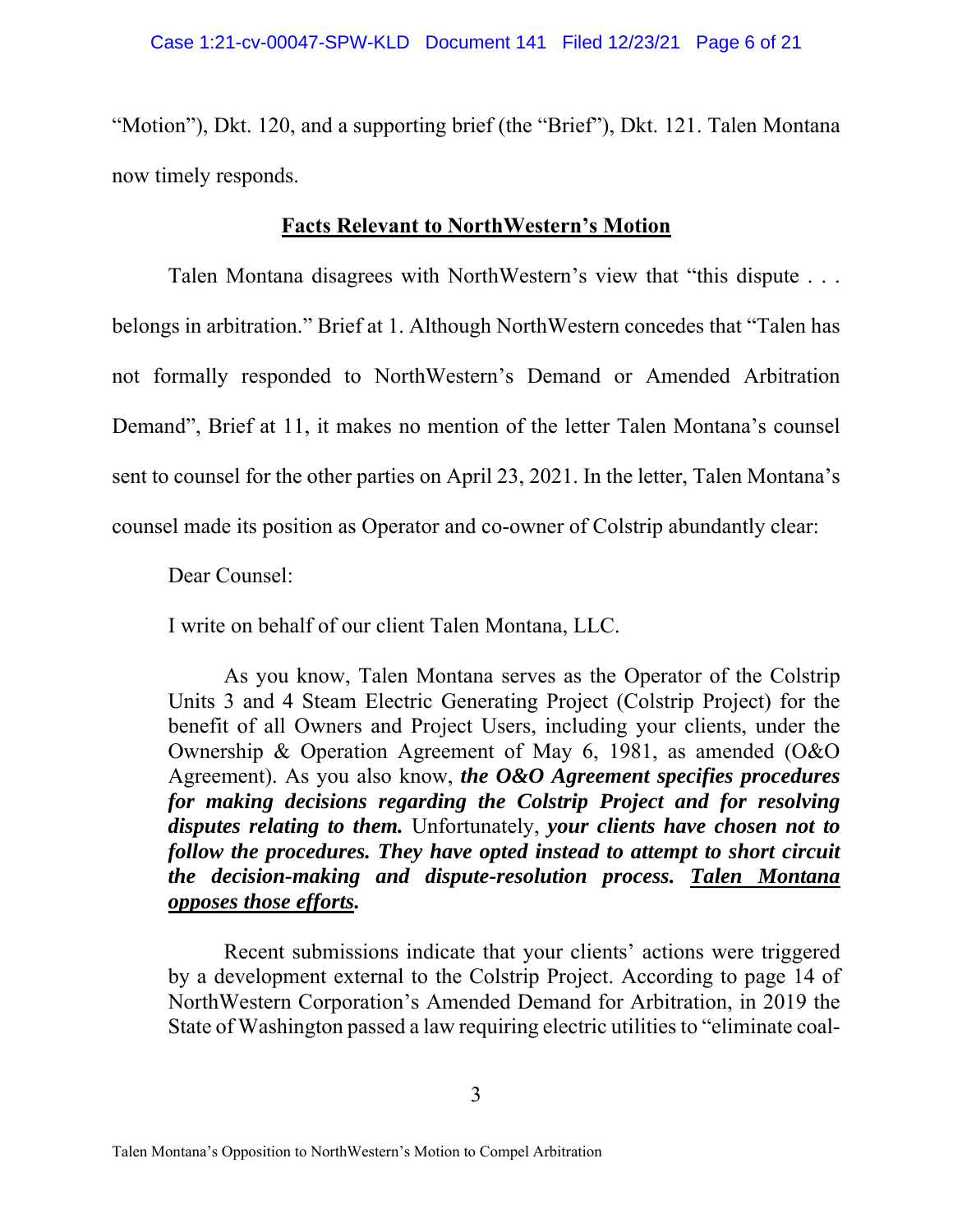"Motion"), Dkt. 120, and a supporting brief (the "Brief"), Dkt. 121. Talen Montana now timely responds.

# **Facts Relevant to NorthWestern's Motion**

Talen Montana disagrees with NorthWestern's view that "this dispute . . . belongs in arbitration." Brief at 1. Although NorthWestern concedes that "Talen has not formally responded to NorthWestern's Demand or Amended Arbitration Demand", Brief at 11, it makes no mention of the letter Talen Montana's counsel sent to counsel for the other parties on April 23, 2021. In the letter, Talen Montana's counsel made its position as Operator and co-owner of Colstrip abundantly clear:

Dear Counsel:

I write on behalf of our client Talen Montana, LLC.

As you know, Talen Montana serves as the Operator of the Colstrip Units 3 and 4 Steam Electric Generating Project (Colstrip Project) for the benefit of all Owners and Project Users, including your clients, under the Ownership & Operation Agreement of May 6, 1981, as amended (O&O Agreement). As you also know, *the O&O Agreement specifies procedures for making decisions regarding the Colstrip Project and for resolving disputes relating to them.* Unfortunately, *your clients have chosen not to follow the procedures. They have opted instead to attempt to short circuit the decision-making and dispute-resolution process. Talen Montana opposes those efforts.* 

Recent submissions indicate that your clients' actions were triggered by a development external to the Colstrip Project. According to page 14 of NorthWestern Corporation's Amended Demand for Arbitration, in 2019 the State of Washington passed a law requiring electric utilities to "eliminate coal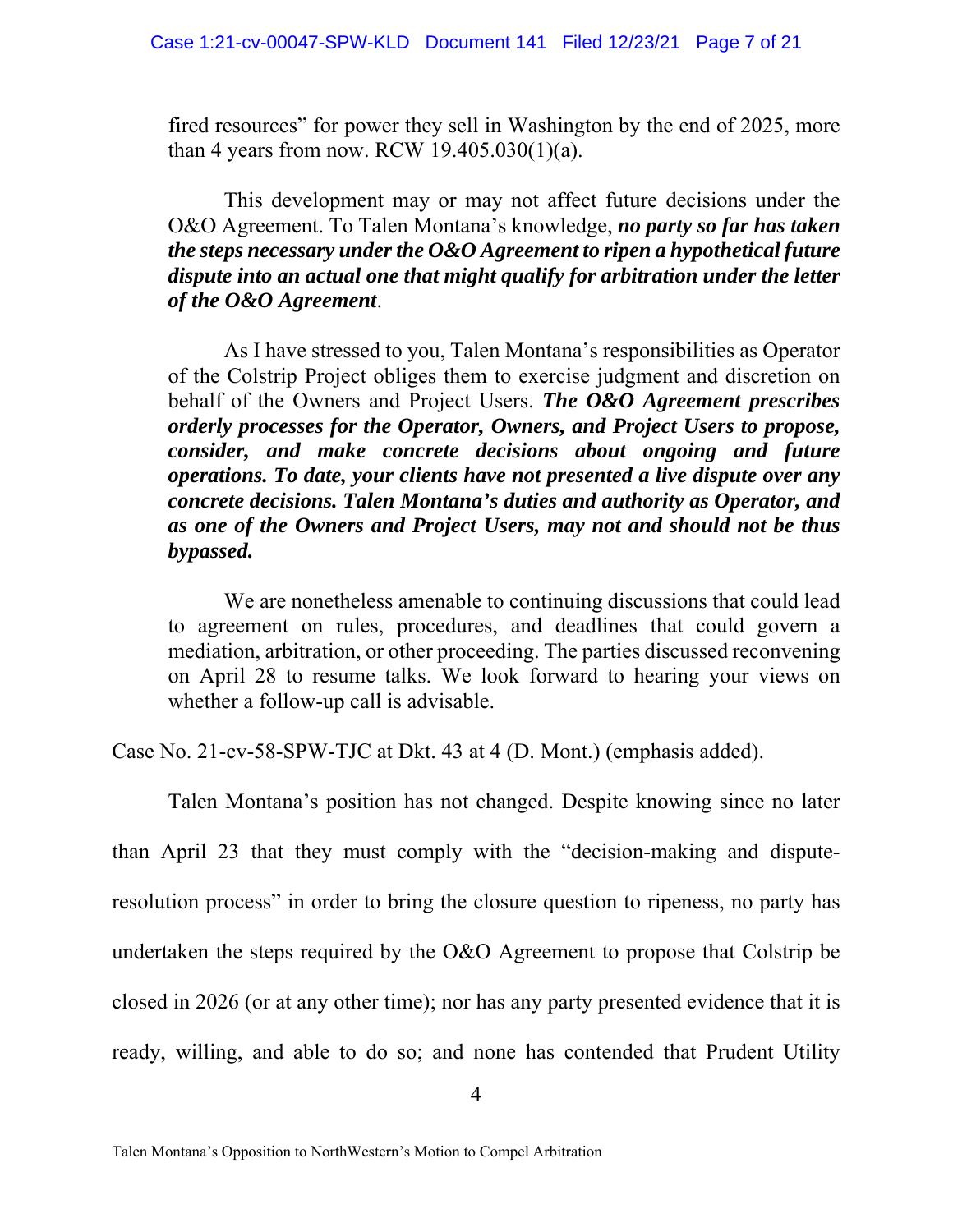fired resources" for power they sell in Washington by the end of 2025, more than 4 years from now. RCW  $19.405.030(1)(a)$ .

This development may or may not affect future decisions under the O&O Agreement. To Talen Montana's knowledge, *no party so far has taken the steps necessary under the O&O Agreement to ripen a hypothetical future dispute into an actual one that might qualify for arbitration under the letter of the O&O Agreement*.

As I have stressed to you, Talen Montana's responsibilities as Operator of the Colstrip Project obliges them to exercise judgment and discretion on behalf of the Owners and Project Users. *The O&O Agreement prescribes orderly processes for the Operator, Owners, and Project Users to propose, consider, and make concrete decisions about ongoing and future operations. To date, your clients have not presented a live dispute over any concrete decisions. Talen Montana's duties and authority as Operator, and as one of the Owners and Project Users, may not and should not be thus bypassed.* 

We are nonetheless amenable to continuing discussions that could lead to agreement on rules, procedures, and deadlines that could govern a mediation, arbitration, or other proceeding. The parties discussed reconvening on April 28 to resume talks. We look forward to hearing your views on whether a follow-up call is advisable.

Case No. 21-cv-58-SPW-TJC at Dkt. 43 at 4 (D. Mont.) (emphasis added).

Talen Montana's position has not changed. Despite knowing since no later than April 23 that they must comply with the "decision-making and disputeresolution process" in order to bring the closure question to ripeness, no party has undertaken the steps required by the O&O Agreement to propose that Colstrip be closed in 2026 (or at any other time); nor has any party presented evidence that it is ready, willing, and able to do so; and none has contended that Prudent Utility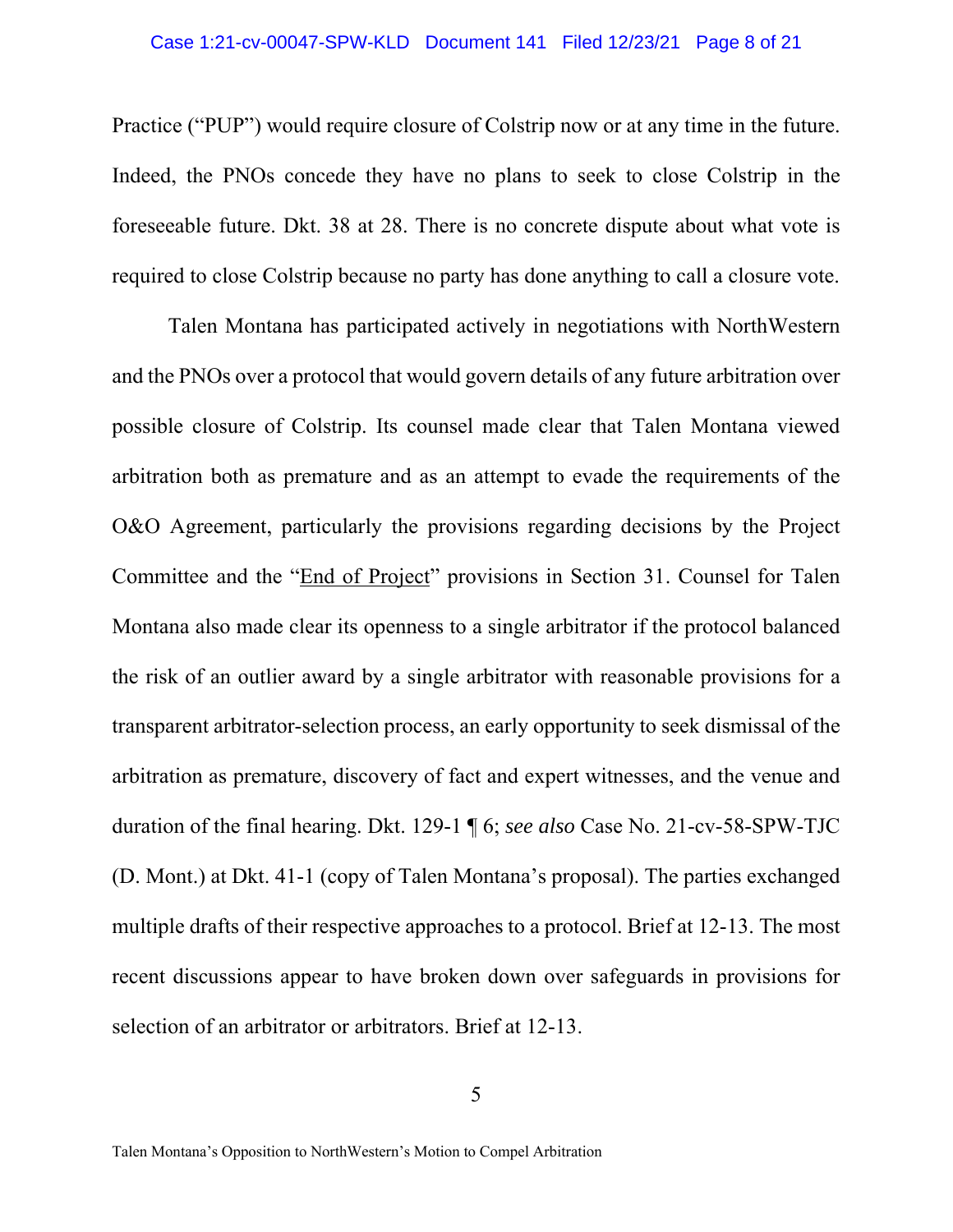## Case 1:21-cv-00047-SPW-KLD Document 141 Filed 12/23/21 Page 8 of 21

Practice ("PUP") would require closure of Colstrip now or at any time in the future. Indeed, the PNOs concede they have no plans to seek to close Colstrip in the foreseeable future. Dkt. 38 at 28. There is no concrete dispute about what vote is required to close Colstrip because no party has done anything to call a closure vote.

 Talen Montana has participated actively in negotiations with NorthWestern and the PNOs over a protocol that would govern details of any future arbitration over possible closure of Colstrip. Its counsel made clear that Talen Montana viewed arbitration both as premature and as an attempt to evade the requirements of the O&O Agreement, particularly the provisions regarding decisions by the Project Committee and the "End of Project" provisions in Section 31. Counsel for Talen Montana also made clear its openness to a single arbitrator if the protocol balanced the risk of an outlier award by a single arbitrator with reasonable provisions for a transparent arbitrator-selection process, an early opportunity to seek dismissal of the arbitration as premature, discovery of fact and expert witnesses, and the venue and duration of the final hearing. Dkt. 129-1 ¶ 6; *see also* Case No. 21-cv-58-SPW-TJC (D. Mont.) at Dkt. 41-1 (copy of Talen Montana's proposal). The parties exchanged multiple drafts of their respective approaches to a protocol. Brief at 12-13. The most recent discussions appear to have broken down over safeguards in provisions for selection of an arbitrator or arbitrators. Brief at 12-13.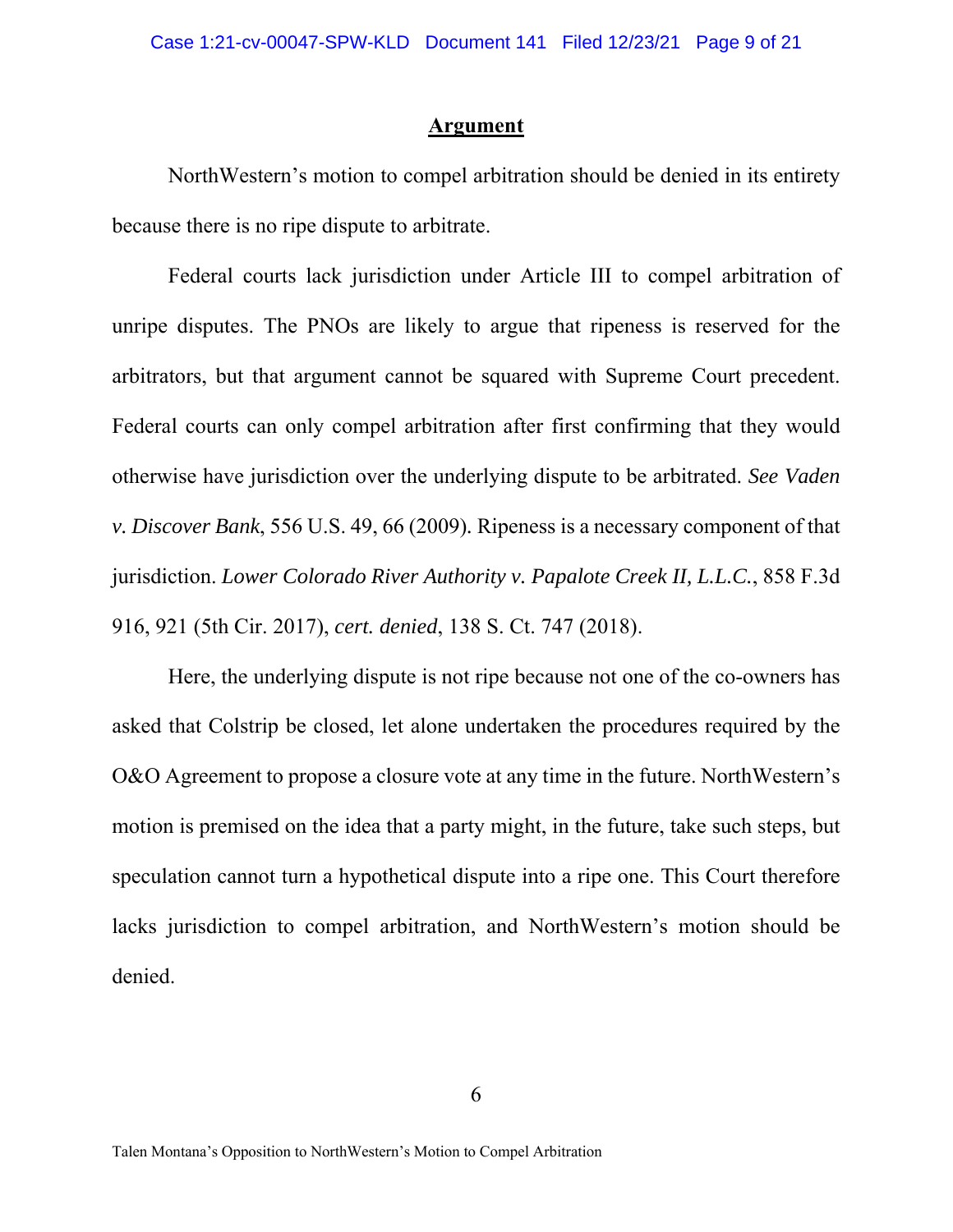## **Argument**

NorthWestern's motion to compel arbitration should be denied in its entirety because there is no ripe dispute to arbitrate.

Federal courts lack jurisdiction under Article III to compel arbitration of unripe disputes. The PNOs are likely to argue that ripeness is reserved for the arbitrators, but that argument cannot be squared with Supreme Court precedent. Federal courts can only compel arbitration after first confirming that they would otherwise have jurisdiction over the underlying dispute to be arbitrated. *See Vaden v. Discover Bank*, 556 U.S. 49, 66 (2009)*.* Ripeness is a necessary component of that jurisdiction. *Lower Colorado River Authority v. Papalote Creek II, L.L.C.*, 858 F.3d 916, 921 (5th Cir. 2017), *cert. denied*, 138 S. Ct. 747 (2018).

Here, the underlying dispute is not ripe because not one of the co-owners has asked that Colstrip be closed, let alone undertaken the procedures required by the O&O Agreement to propose a closure vote at any time in the future. NorthWestern's motion is premised on the idea that a party might, in the future, take such steps, but speculation cannot turn a hypothetical dispute into a ripe one. This Court therefore lacks jurisdiction to compel arbitration, and NorthWestern's motion should be denied.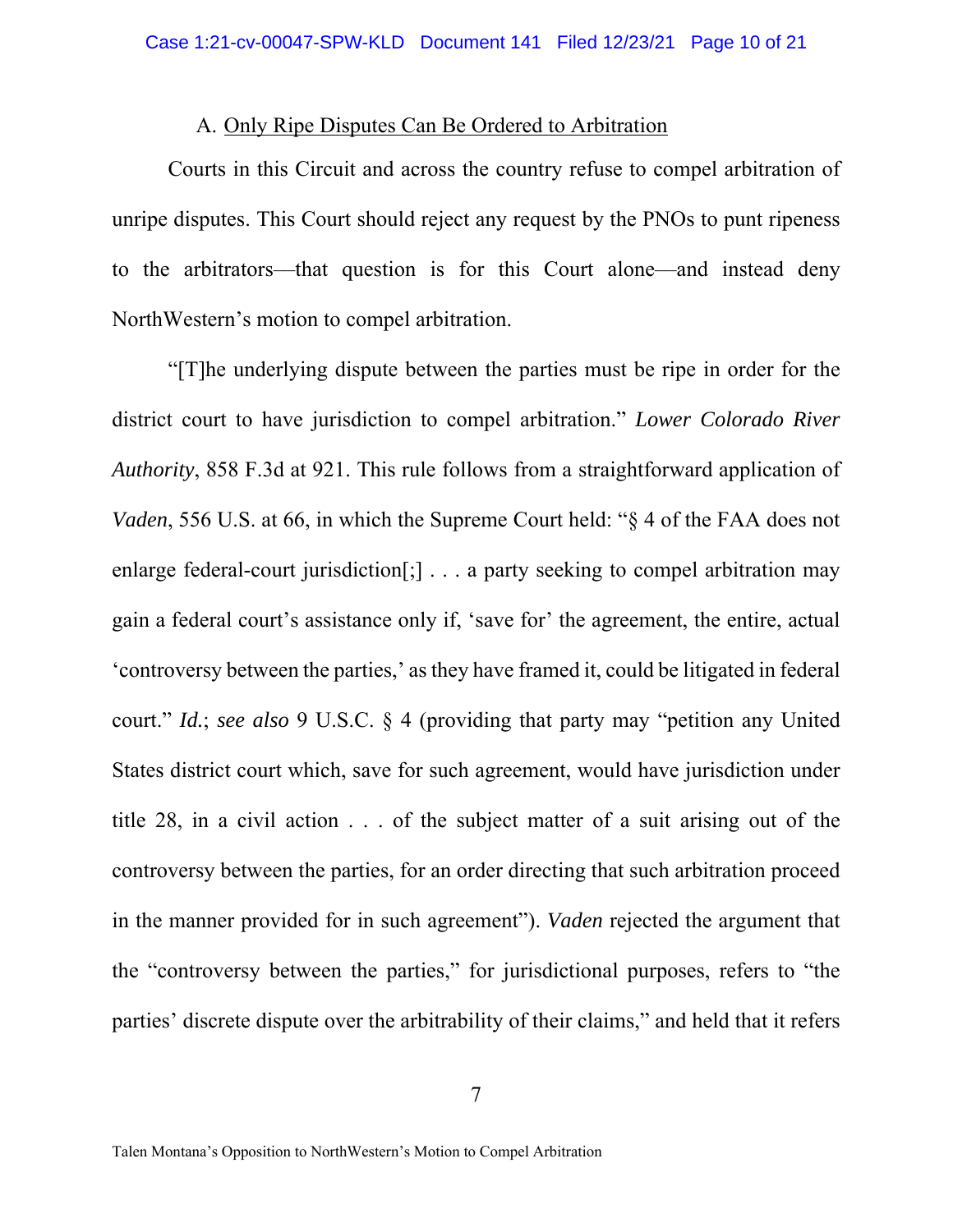## A. Only Ripe Disputes Can Be Ordered to Arbitration

Courts in this Circuit and across the country refuse to compel arbitration of unripe disputes. This Court should reject any request by the PNOs to punt ripeness to the arbitrators––that question is for this Court alone––and instead deny NorthWestern's motion to compel arbitration.

"[T]he underlying dispute between the parties must be ripe in order for the district court to have jurisdiction to compel arbitration." *Lower Colorado River Authority*, 858 F.3d at 921. This rule follows from a straightforward application of *Vaden*, 556 U.S. at 66, in which the Supreme Court held: "§ 4 of the FAA does not enlarge federal-court jurisdiction<sup>[</sup>;] . . . a party seeking to compel arbitration may gain a federal court's assistance only if, 'save for' the agreement, the entire, actual 'controversy between the parties,' as they have framed it, could be litigated in federal court." *Id.*; *see also* 9 U.S.C. § 4 (providing that party may "petition any United States district court which, save for such agreement, would have jurisdiction under title 28, in a civil action . . . of the subject matter of a suit arising out of the controversy between the parties, for an order directing that such arbitration proceed in the manner provided for in such agreement"). *Vaden* rejected the argument that the "controversy between the parties," for jurisdictional purposes, refers to "the parties' discrete dispute over the arbitrability of their claims," and held that it refers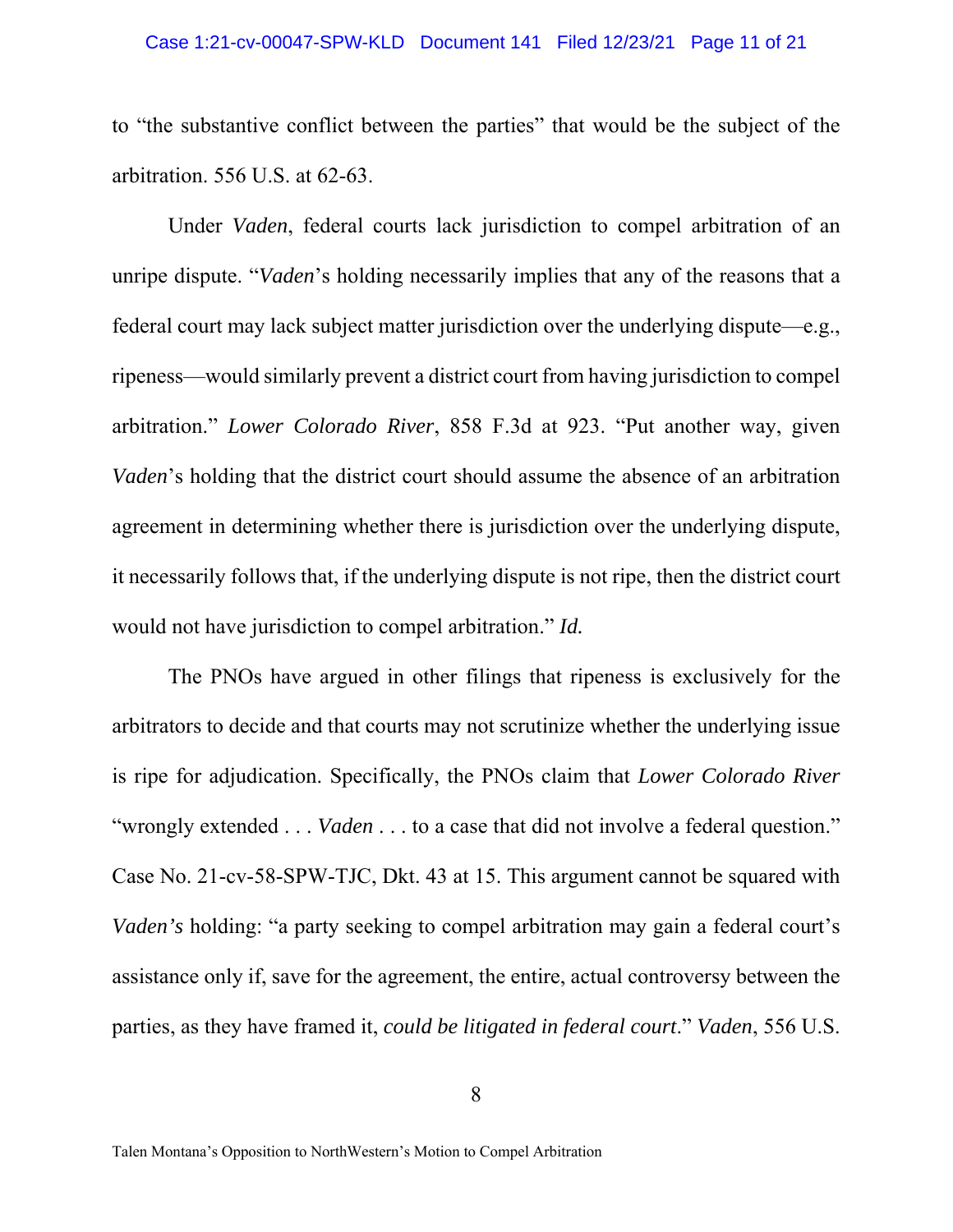## Case 1:21-cv-00047-SPW-KLD Document 141 Filed 12/23/21 Page 11 of 21

to "the substantive conflict between the parties" that would be the subject of the arbitration. 556 U.S. at 62-63.

Under *Vaden*, federal courts lack jurisdiction to compel arbitration of an unripe dispute. "*Vaden*'s holding necessarily implies that any of the reasons that a federal court may lack subject matter jurisdiction over the underlying dispute—e.g., ripeness—would similarly prevent a district court from having jurisdiction to compel arbitration." *Lower Colorado River*, 858 F.3d at 923. "Put another way, given *Vaden*'s holding that the district court should assume the absence of an arbitration agreement in determining whether there is jurisdiction over the underlying dispute, it necessarily follows that, if the underlying dispute is not ripe, then the district court would not have jurisdiction to compel arbitration." *Id.*

The PNOs have argued in other filings that ripeness is exclusively for the arbitrators to decide and that courts may not scrutinize whether the underlying issue is ripe for adjudication. Specifically, the PNOs claim that *Lower Colorado River* "wrongly extended . . . *Vaden* . . . to a case that did not involve a federal question." Case No. 21-cv-58-SPW-TJC, Dkt. 43 at 15. This argument cannot be squared with *Vaden's* holding: "a party seeking to compel arbitration may gain a federal court's assistance only if, save for the agreement, the entire, actual controversy between the parties, as they have framed it, *could be litigated in federal court*." *Vaden*, 556 U.S.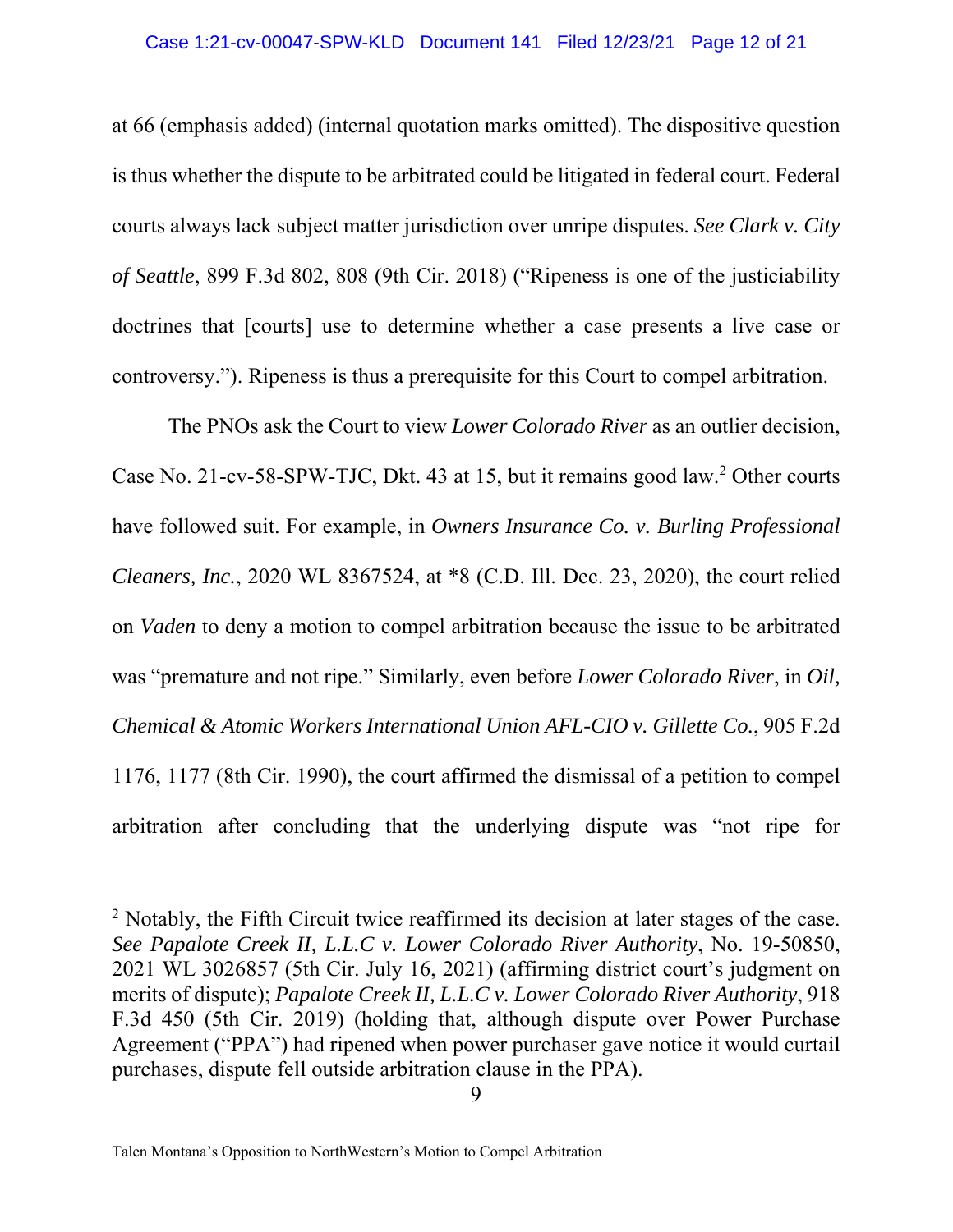at 66 (emphasis added) (internal quotation marks omitted). The dispositive question is thus whether the dispute to be arbitrated could be litigated in federal court. Federal courts always lack subject matter jurisdiction over unripe disputes. *See Clark v. City of Seattle*, 899 F.3d 802, 808 (9th Cir. 2018) ("Ripeness is one of the justiciability doctrines that [courts] use to determine whether a case presents a live case or controversy."). Ripeness is thus a prerequisite for this Court to compel arbitration.

 The PNOs ask the Court to view *Lower Colorado River* as an outlier decision, Case No. 21-cv-58-SPW-TJC, Dkt. 43 at 15, but it remains good law.<sup>2</sup> Other courts have followed suit. For example, in *Owners Insurance Co. v. Burling Professional Cleaners, Inc.*, 2020 WL 8367524, at \*8 (C.D. Ill. Dec. 23, 2020), the court relied on *Vaden* to deny a motion to compel arbitration because the issue to be arbitrated was "premature and not ripe." Similarly, even before *Lower Colorado River*, in *Oil, Chemical & Atomic Workers International Union AFL-CIO v. Gillette Co.*, 905 F.2d 1176, 1177 (8th Cir. 1990), the court affirmed the dismissal of a petition to compel arbitration after concluding that the underlying dispute was "not ripe for

<sup>&</sup>lt;sup>2</sup> Notably, the Fifth Circuit twice reaffirmed its decision at later stages of the case. *See Papalote Creek II, L.L.C v. Lower Colorado River Authority*, No. 19-50850, 2021 WL 3026857 (5th Cir. July 16, 2021) (affirming district court's judgment on merits of dispute); *Papalote Creek II, L.L.C v. Lower Colorado River Authority*, 918 F.3d 450 (5th Cir. 2019) (holding that, although dispute over Power Purchase Agreement ("PPA") had ripened when power purchaser gave notice it would curtail purchases, dispute fell outside arbitration clause in the PPA).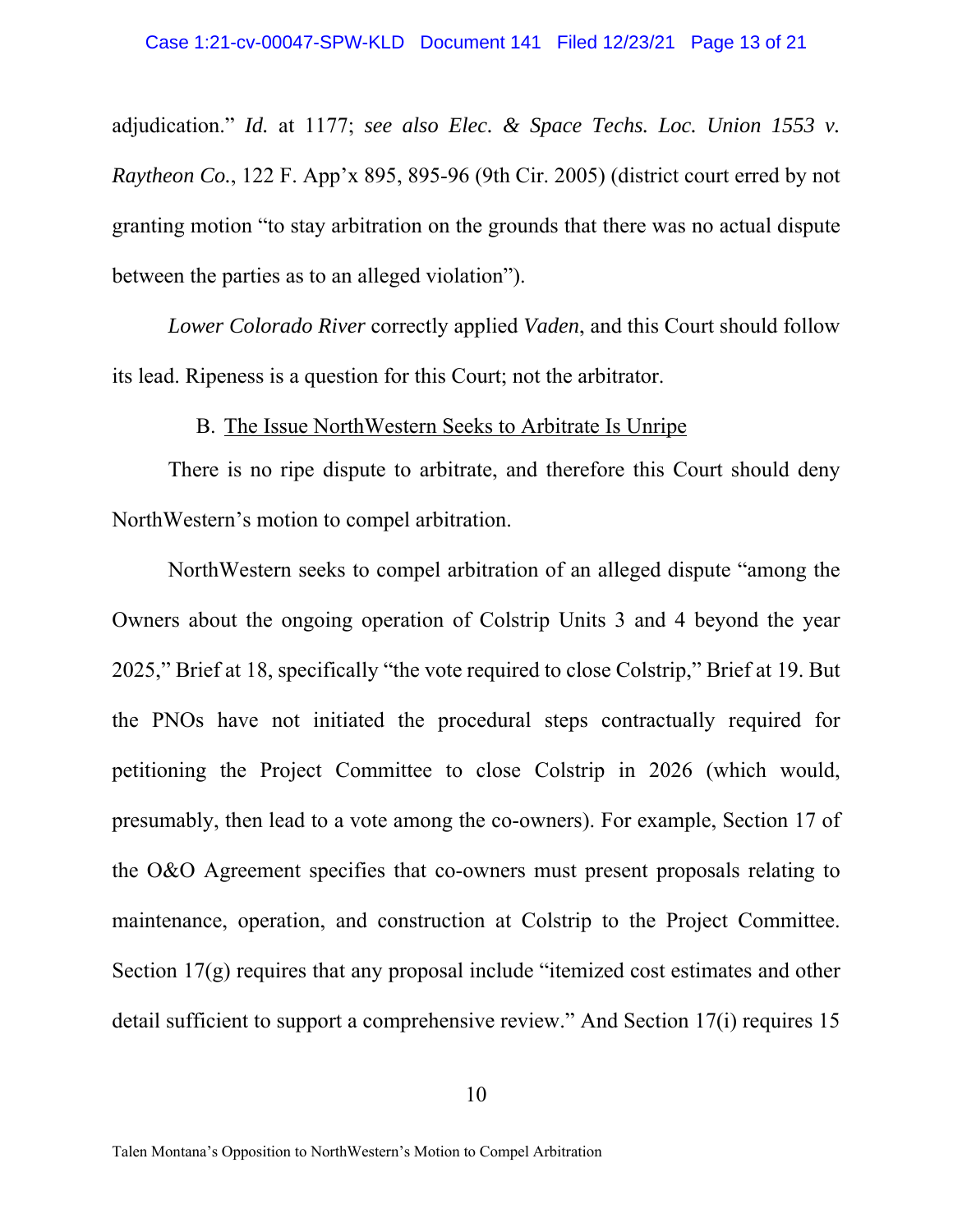adjudication." *Id.* at 1177; *see also Elec. & Space Techs. Loc. Union 1553 v. Raytheon Co.*, 122 F. App'x 895, 895-96 (9th Cir. 2005) (district court erred by not granting motion "to stay arbitration on the grounds that there was no actual dispute between the parties as to an alleged violation").

*Lower Colorado River* correctly applied *Vaden*, and this Court should follow its lead. Ripeness is a question for this Court; not the arbitrator.

## B. The Issue NorthWestern Seeks to Arbitrate Is Unripe

There is no ripe dispute to arbitrate, and therefore this Court should deny NorthWestern's motion to compel arbitration.

NorthWestern seeks to compel arbitration of an alleged dispute "among the Owners about the ongoing operation of Colstrip Units 3 and 4 beyond the year 2025," Brief at 18, specifically "the vote required to close Colstrip," Brief at 19. But the PNOs have not initiated the procedural steps contractually required for petitioning the Project Committee to close Colstrip in 2026 (which would, presumably, then lead to a vote among the co-owners). For example, Section 17 of the O&O Agreement specifies that co-owners must present proposals relating to maintenance, operation, and construction at Colstrip to the Project Committee. Section 17(g) requires that any proposal include "itemized cost estimates and other detail sufficient to support a comprehensive review." And Section 17(i) requires 15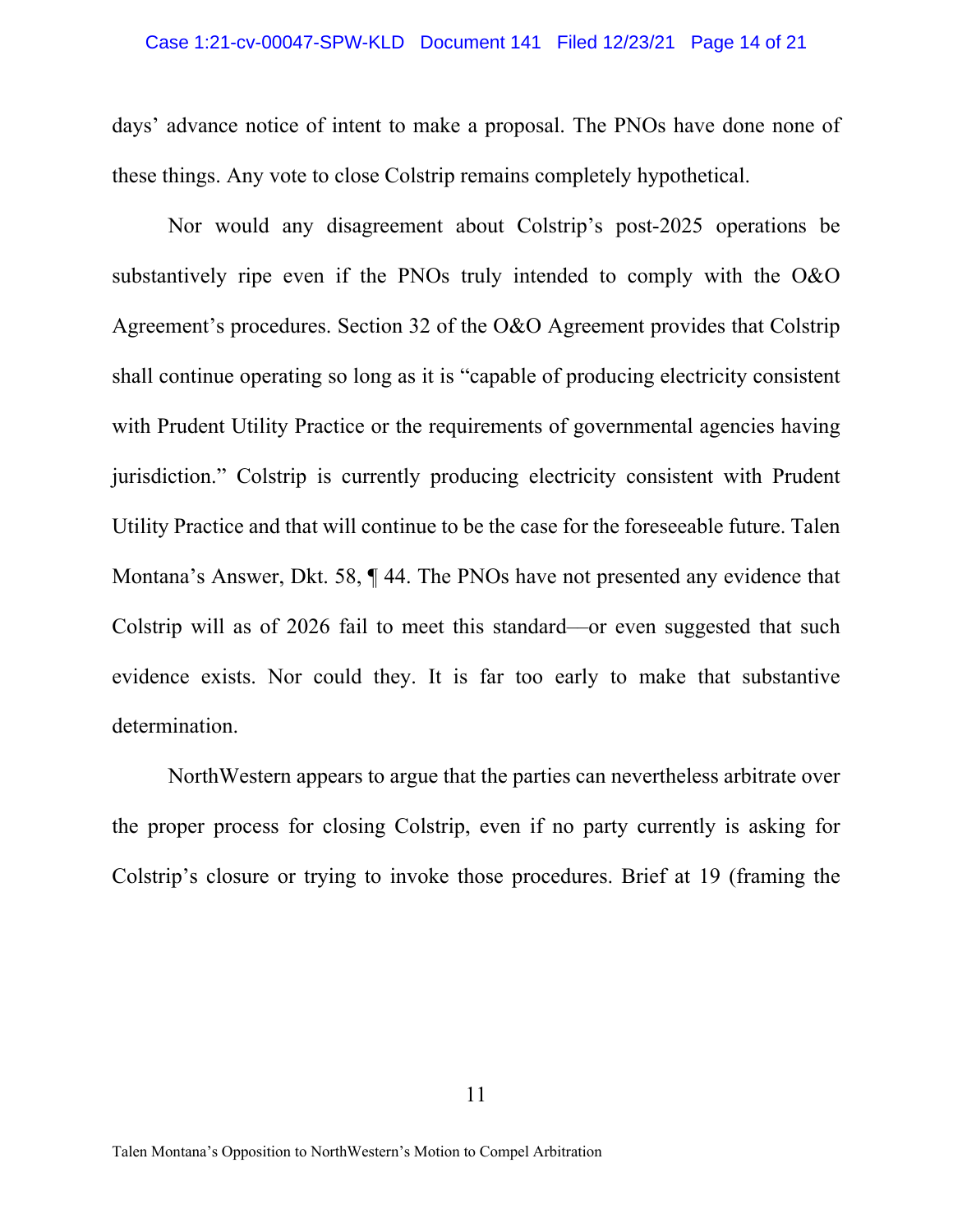## Case 1:21-cv-00047-SPW-KLD Document 141 Filed 12/23/21 Page 14 of 21

days' advance notice of intent to make a proposal. The PNOs have done none of these things. Any vote to close Colstrip remains completely hypothetical.

Nor would any disagreement about Colstrip's post-2025 operations be substantively ripe even if the PNOs truly intended to comply with the O&O Agreement's procedures. Section 32 of the O&O Agreement provides that Colstrip shall continue operating so long as it is "capable of producing electricity consistent with Prudent Utility Practice or the requirements of governmental agencies having jurisdiction." Colstrip is currently producing electricity consistent with Prudent Utility Practice and that will continue to be the case for the foreseeable future. Talen Montana's Answer, Dkt. 58, ¶ 44. The PNOs have not presented any evidence that Colstrip will as of 2026 fail to meet this standard––or even suggested that such evidence exists. Nor could they. It is far too early to make that substantive determination.

NorthWestern appears to argue that the parties can nevertheless arbitrate over the proper process for closing Colstrip, even if no party currently is asking for Colstrip's closure or trying to invoke those procedures. Brief at 19 (framing the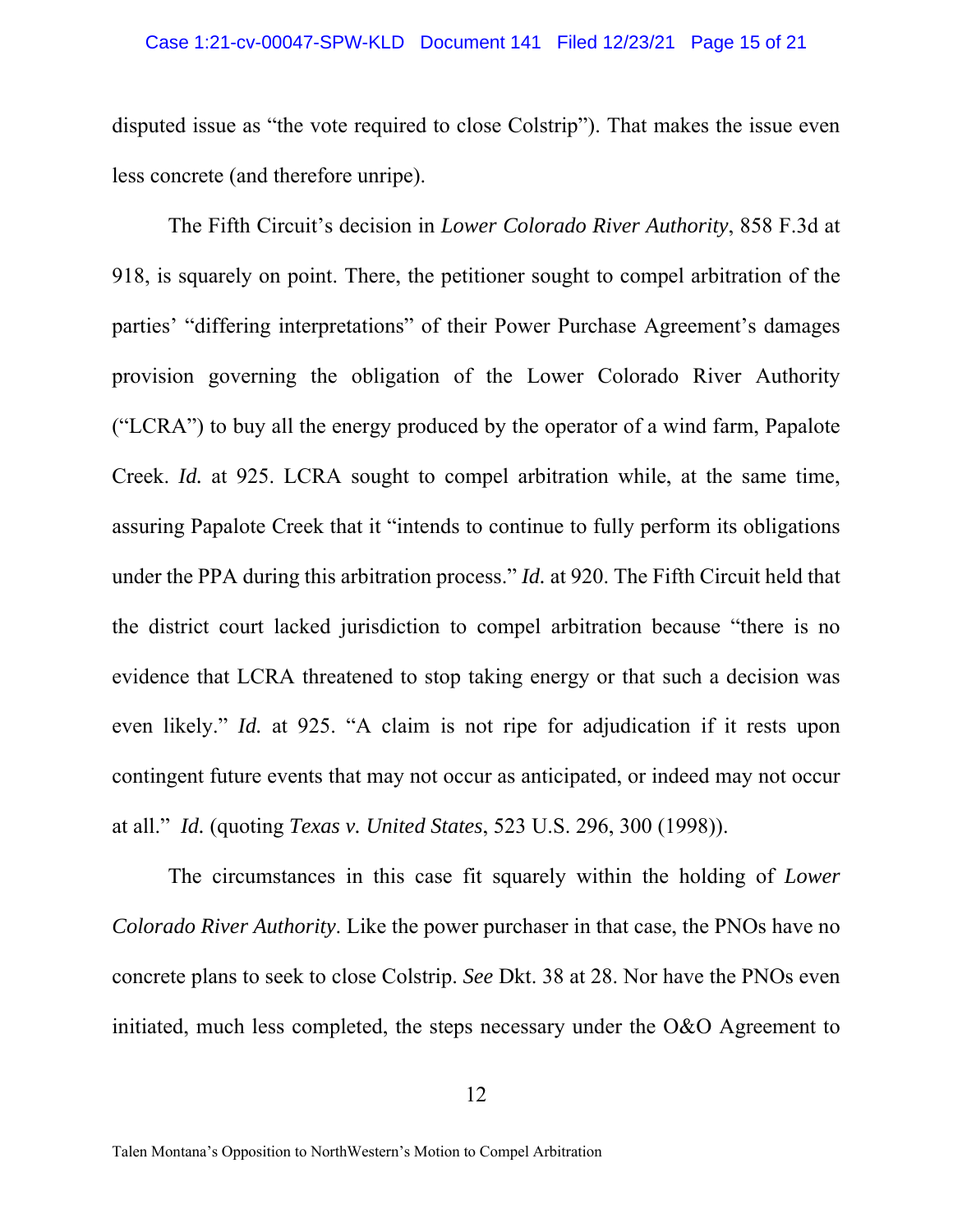disputed issue as "the vote required to close Colstrip"). That makes the issue even less concrete (and therefore unripe).

The Fifth Circuit's decision in *Lower Colorado River Authority*, 858 F.3d at 918, is squarely on point. There, the petitioner sought to compel arbitration of the parties' "differing interpretations" of their Power Purchase Agreement's damages provision governing the obligation of the Lower Colorado River Authority ("LCRA") to buy all the energy produced by the operator of a wind farm, Papalote Creek. *Id.* at 925. LCRA sought to compel arbitration while, at the same time, assuring Papalote Creek that it "intends to continue to fully perform its obligations under the PPA during this arbitration process." *Id.* at 920. The Fifth Circuit held that the district court lacked jurisdiction to compel arbitration because "there is no evidence that LCRA threatened to stop taking energy or that such a decision was even likely." *Id.* at 925. "A claim is not ripe for adjudication if it rests upon contingent future events that may not occur as anticipated, or indeed may not occur at all." *Id.* (quoting *Texas v. United States*, 523 U.S. 296, 300 (1998)).

The circumstances in this case fit squarely within the holding of *Lower Colorado River Authority*. Like the power purchaser in that case, the PNOs have no concrete plans to seek to close Colstrip. *See* Dkt. 38 at 28. Nor have the PNOs even initiated, much less completed, the steps necessary under the O&O Agreement to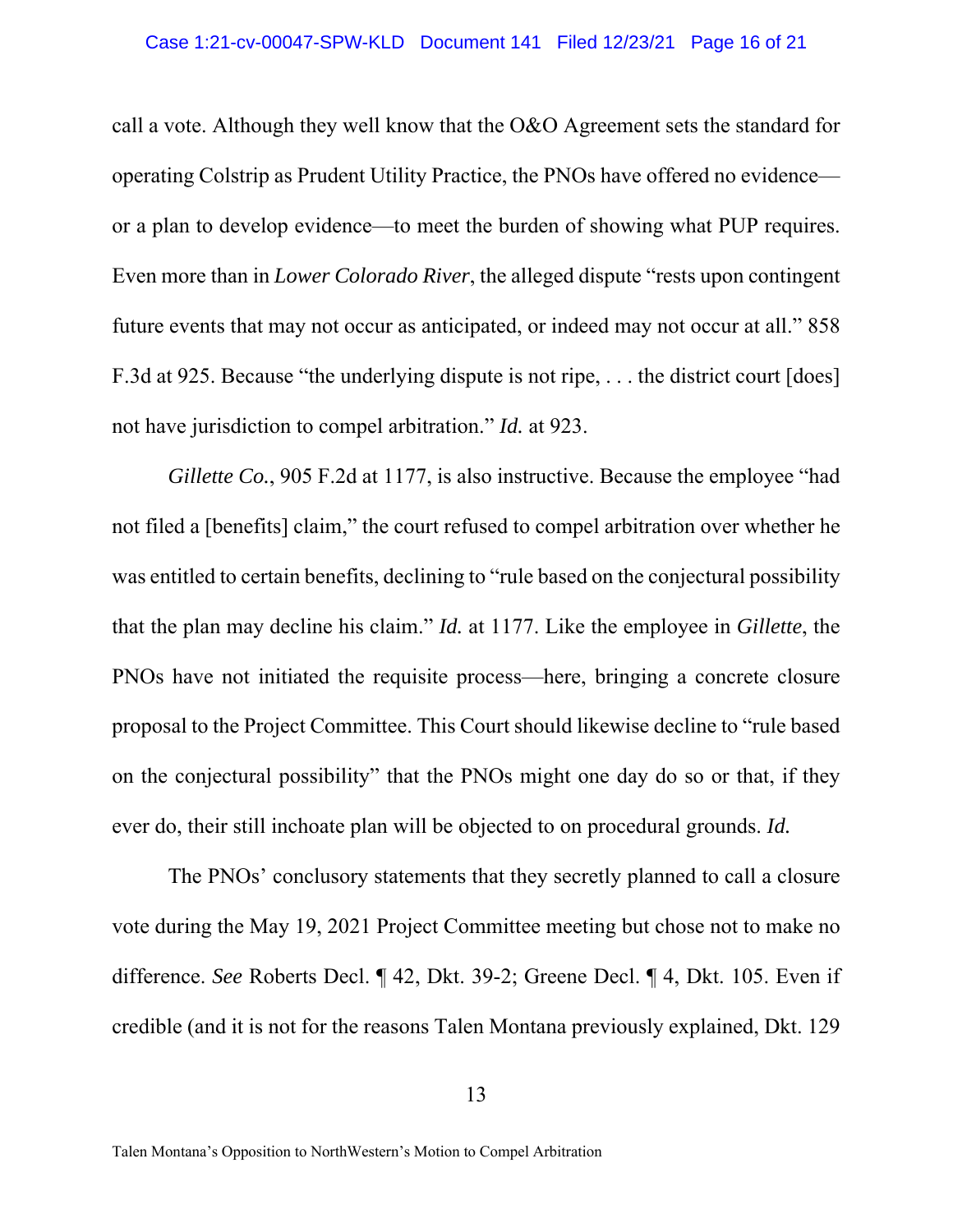call a vote. Although they well know that the O&O Agreement sets the standard for operating Colstrip as Prudent Utility Practice, the PNOs have offered no evidence or a plan to develop evidence—to meet the burden of showing what PUP requires. Even more than in *Lower Colorado River*, the alleged dispute "rests upon contingent future events that may not occur as anticipated, or indeed may not occur at all." 858 F.3d at 925. Because "the underlying dispute is not ripe, . . . the district court [does] not have jurisdiction to compel arbitration." *Id.* at 923.

*Gillette Co.*, 905 F.2d at 1177, is also instructive. Because the employee "had not filed a [benefits] claim," the court refused to compel arbitration over whether he was entitled to certain benefits, declining to "rule based on the conjectural possibility that the plan may decline his claim." *Id.* at 1177. Like the employee in *Gillette*, the PNOs have not initiated the requisite process—here, bringing a concrete closure proposal to the Project Committee. This Court should likewise decline to "rule based on the conjectural possibility" that the PNOs might one day do so or that, if they ever do, their still inchoate plan will be objected to on procedural grounds. *Id.*

The PNOs' conclusory statements that they secretly planned to call a closure vote during the May 19, 2021 Project Committee meeting but chose not to make no difference. *See* Roberts Decl. ¶ 42, Dkt. 39-2; Greene Decl. ¶ 4, Dkt. 105. Even if credible (and it is not for the reasons Talen Montana previously explained, Dkt. 129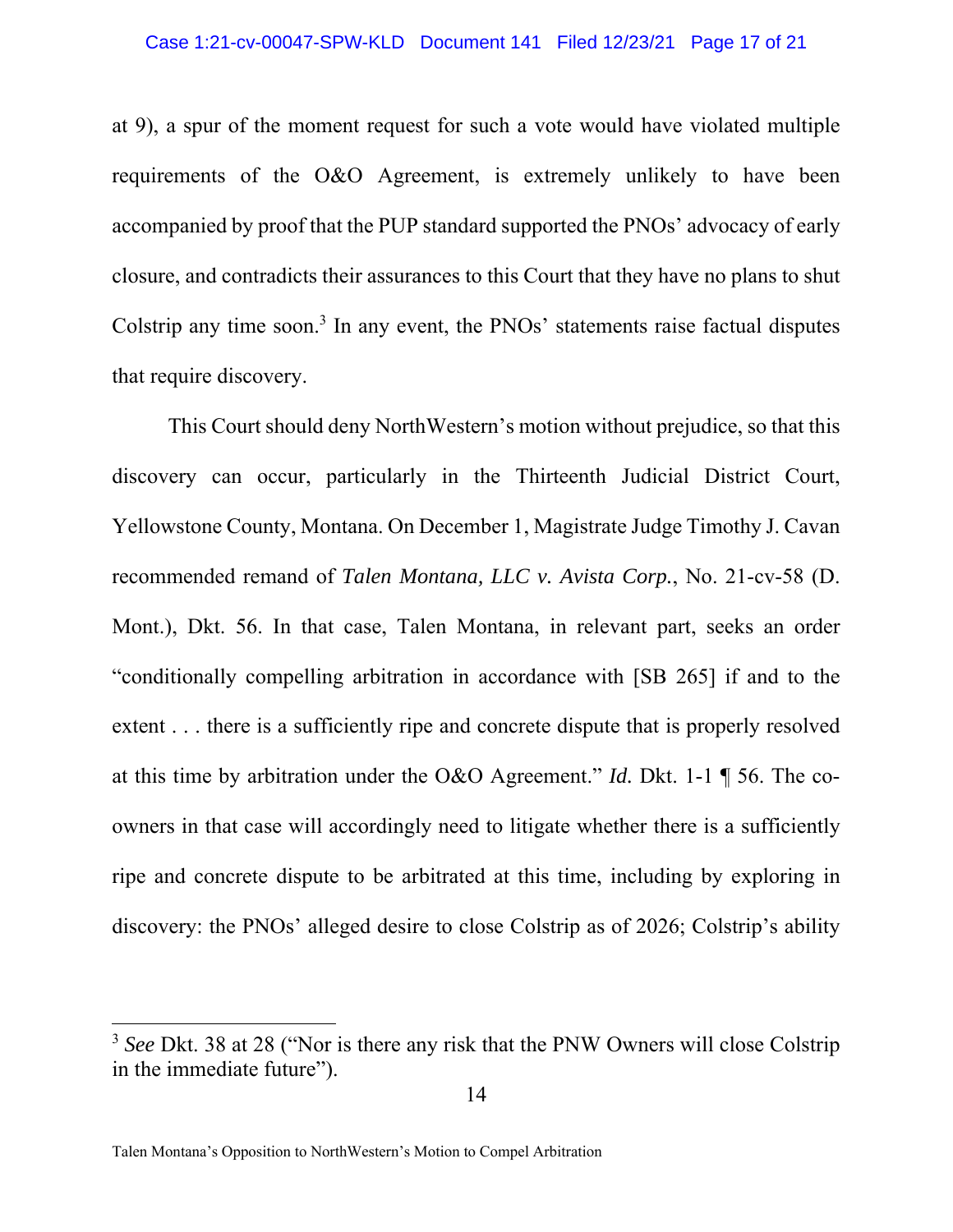at 9), a spur of the moment request for such a vote would have violated multiple requirements of the O&O Agreement, is extremely unlikely to have been accompanied by proof that the PUP standard supported the PNOs' advocacy of early closure, and contradicts their assurances to this Court that they have no plans to shut Colstrip any time soon.<sup>3</sup> In any event, the PNOs' statements raise factual disputes that require discovery.

This Court should deny NorthWestern's motion without prejudice, so that this discovery can occur, particularly in the Thirteenth Judicial District Court, Yellowstone County, Montana. On December 1, Magistrate Judge Timothy J. Cavan recommended remand of *Talen Montana, LLC v. Avista Corp.*, No. 21-cv-58 (D. Mont.), Dkt. 56. In that case, Talen Montana, in relevant part, seeks an order "conditionally compelling arbitration in accordance with [SB 265] if and to the extent . . . there is a sufficiently ripe and concrete dispute that is properly resolved at this time by arbitration under the O&O Agreement." *Id.* Dkt. 1-1 ¶ 56. The coowners in that case will accordingly need to litigate whether there is a sufficiently ripe and concrete dispute to be arbitrated at this time, including by exploring in discovery: the PNOs' alleged desire to close Colstrip as of 2026; Colstrip's ability

<sup>3</sup> *See* Dkt. 38 at 28 ("Nor is there any risk that the PNW Owners will close Colstrip in the immediate future").

Talen Montana's Opposition to NorthWestern's Motion to Compel Arbitration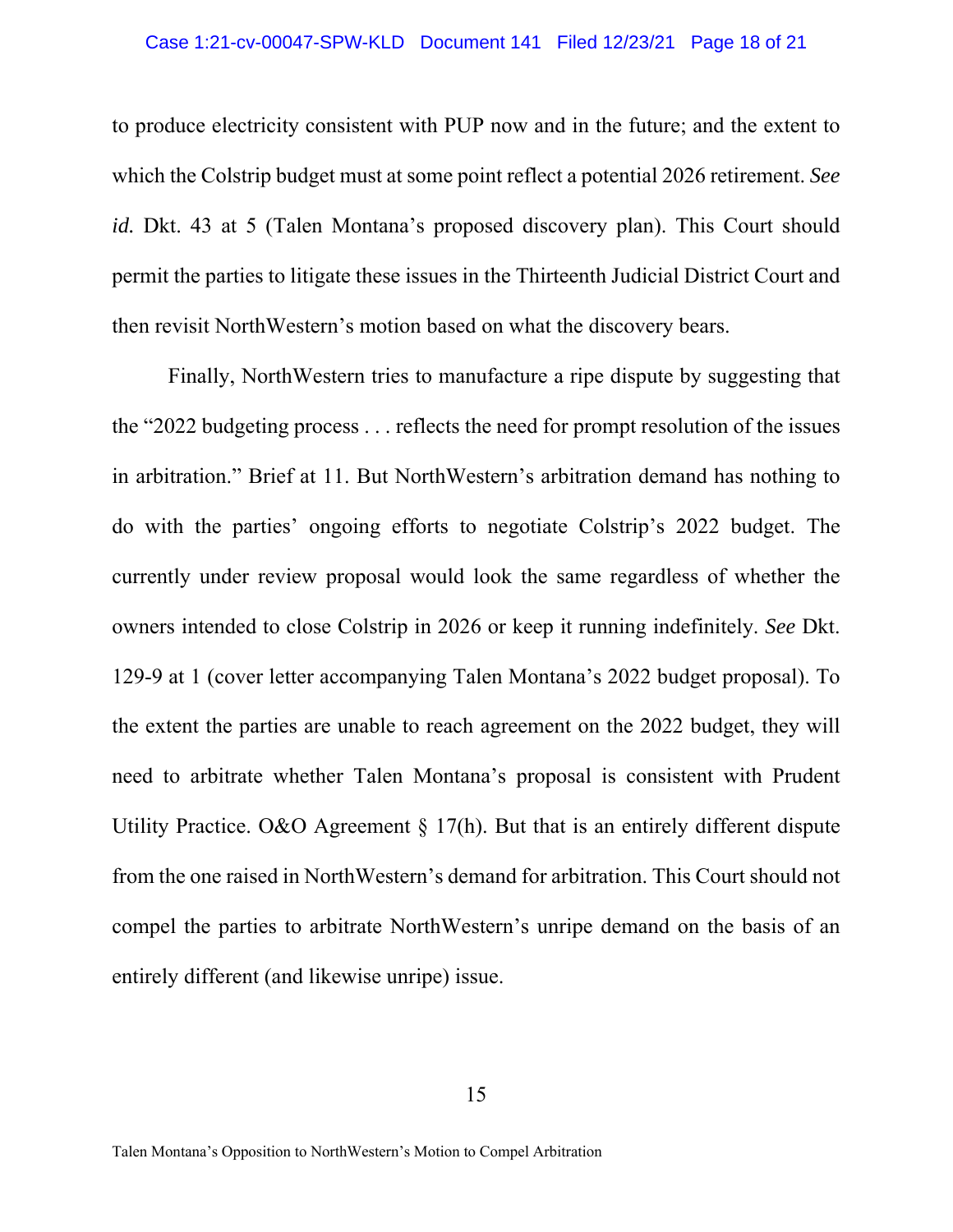## Case 1:21-cv-00047-SPW-KLD Document 141 Filed 12/23/21 Page 18 of 21

to produce electricity consistent with PUP now and in the future; and the extent to which the Colstrip budget must at some point reflect a potential 2026 retirement. *See id.* Dkt. 43 at 5 (Talen Montana's proposed discovery plan). This Court should permit the parties to litigate these issues in the Thirteenth Judicial District Court and then revisit NorthWestern's motion based on what the discovery bears.

Finally, NorthWestern tries to manufacture a ripe dispute by suggesting that the "2022 budgeting process . . . reflects the need for prompt resolution of the issues in arbitration." Brief at 11. But NorthWestern's arbitration demand has nothing to do with the parties' ongoing efforts to negotiate Colstrip's 2022 budget. The currently under review proposal would look the same regardless of whether the owners intended to close Colstrip in 2026 or keep it running indefinitely. *See* Dkt. 129-9 at 1 (cover letter accompanying Talen Montana's 2022 budget proposal). To the extent the parties are unable to reach agreement on the 2022 budget, they will need to arbitrate whether Talen Montana's proposal is consistent with Prudent Utility Practice. O&O Agreement  $\S 17(h)$ . But that is an entirely different dispute from the one raised in NorthWestern's demand for arbitration. This Court should not compel the parties to arbitrate NorthWestern's unripe demand on the basis of an entirely different (and likewise unripe) issue.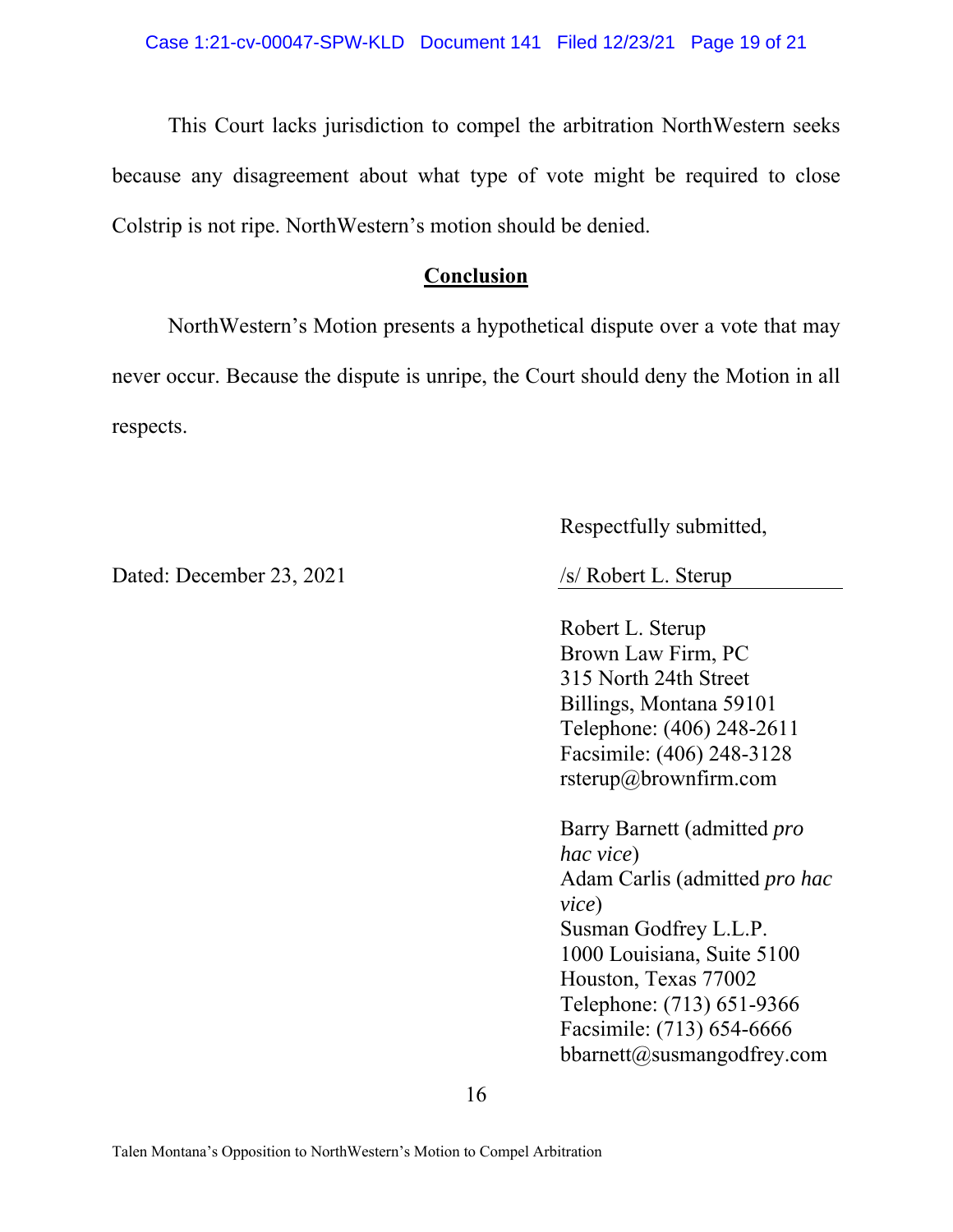This Court lacks jurisdiction to compel the arbitration NorthWestern seeks because any disagreement about what type of vote might be required to close Colstrip is not ripe. NorthWestern's motion should be denied.

## **Conclusion**

NorthWestern's Motion presents a hypothetical dispute over a vote that may never occur. Because the dispute is unripe, the Court should deny the Motion in all respects.

Dated: December 23, 2021 /s/ Robert L. Sterup

Respectfully submitted,

Robert L. Sterup Brown Law Firm, PC 315 North 24th Street Billings, Montana 59101 Telephone: (406) 248-2611 Facsimile: (406) 248-3128 rsterup@brownfirm.com

Barry Barnett (admitted *pro hac vice*) Adam Carlis (admitted *pro hac vice*) Susman Godfrey L.L.P. 1000 Louisiana, Suite 5100 Houston, Texas 77002 Telephone: (713) 651-9366 Facsimile: (713) 654-6666 bbarnett@susmangodfrey.com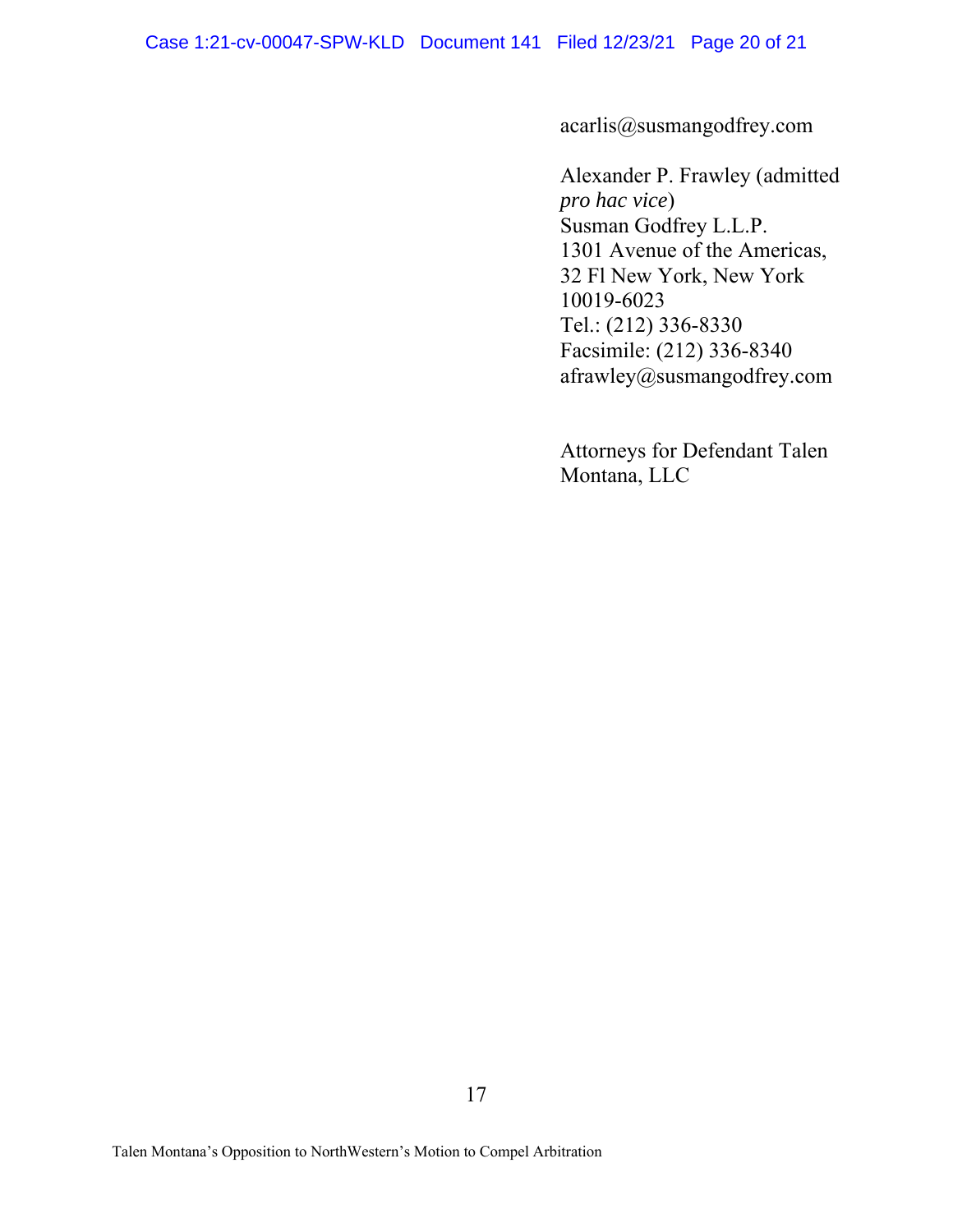acarlis@susmangodfrey.com

Alexander P. Frawley (admitted *pro hac vice*) Susman Godfrey L.L.P. 1301 Avenue of the Americas, 32 Fl New York, New York 10019-6023 Tel.: (212) 336-8330 Facsimile: (212) 336-8340 afrawley@susmangodfrey.com

Attorneys for Defendant Talen Montana, LLC